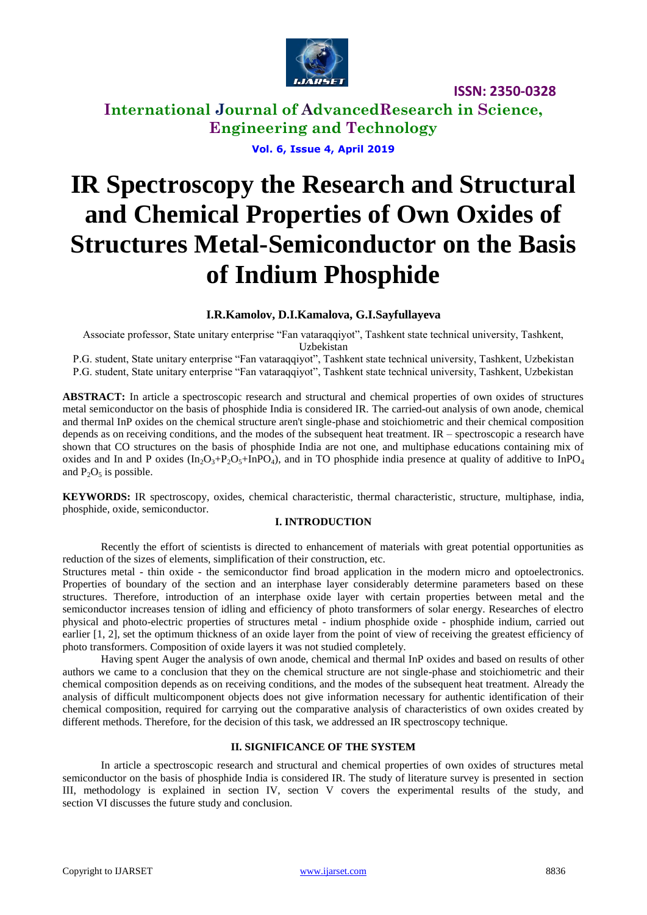

**ISSN: 2350-0328**

**International Journal of AdvancedResearch in Science, Engineering and Technology**

**Vol. 6, Issue 4, April 2019**

# **IR Spectroscopy the Research and Structural and Chemical Properties of Own Oxides of Structures Metal-Semiconductor on the Basis of Indium Phosphide**

#### **I.R.Kamolov, D.I.Kamalova, G.I.Sayfullayeva**

Associate professor, State unitary enterprise "Fan vataraqqiyot", Tashkent state technical university, Tashkent, Uzbekistan

P.G. student, State unitary enterprise "Fan vataraqqiyot", Tashkent state technical university, Tashkent, Uzbekistan P.G. student, State unitary enterprise "Fan vataraqqiyot", Tashkent state technical university, Tashkent, Uzbekistan

**ABSTRACT:** In article a spectroscopic research and structural and chemical properties of own oxides of structures metal semiconductor on the basis of phosphide India is considered IR. The carried-out analysis of own anode, chemical and thermal InP oxides on the chemical structure aren't single-phase and stoichiometric and their chemical composition depends as on receiving conditions, and the modes of the subsequent heat treatment. IR – spectroscopic a research have shown that CO structures on the basis of phosphide India are not one, and multiphase educations containing mix of oxides and In and P oxides (In<sub>2</sub>O<sub>3</sub>+P<sub>2</sub>O<sub>5</sub>+InPO<sub>4</sub>), and in TO phosphide india presence at quality of additive to InPO<sub>4</sub> and  $P_2O_5$  is possible.

**KEYWORDS:** IR spectroscopy, oxides, chemical characteristic, thermal characteristic, structure, multiphase, india, phosphide, oxide, semiconductor.

#### **I. INTRODUCTION**

Recently the effort of scientists is directed to enhancement of materials with great potential opportunities as reduction of the sizes of elements, simplification of their construction, etc.

Structures metal - thin oxide - the semiconductor find broad application in the modern micro and optoelectronics. Properties of boundary of the section and an interphase layer considerably determine parameters based on these structures. Therefore, introduction of an interphase oxide layer with certain properties between metal and the semiconductor increases tension of idling and efficiency of photo transformers of solar energy. Researches of electro physical and photo-electric properties of structures metal - indium phosphide oxide - phosphide indium, carried out earlier [1, 2], set the optimum thickness of an oxide layer from the point of view of receiving the greatest efficiency of photo transformers. Composition of oxide layers it was not studied completely.

Having spent Auger the analysis of own anode, chemical and thermal InP oxides and based on results of other authors we came to a conclusion that they on the chemical structure are not single-phase and stoichiometric and their chemical composition depends as on receiving conditions, and the modes of the subsequent heat treatment. Already the analysis of difficult multicomponent objects does not give information necessary for authentic identification of their chemical composition, required for carrying out the comparative analysis of characteristics of own oxides created by different methods. Therefore, for the decision of this task, we addressed an IR spectroscopy technique.

#### **II. SIGNIFICANCE OF THE SYSTEM**

In article a spectroscopic research and structural and chemical properties of own oxides of structures metal semiconductor on the basis of phosphide India is considered IR. The study of literature survey is presented in section III, methodology is explained in section IV, section V covers the experimental results of the study, and section VI discusses the future study and conclusion.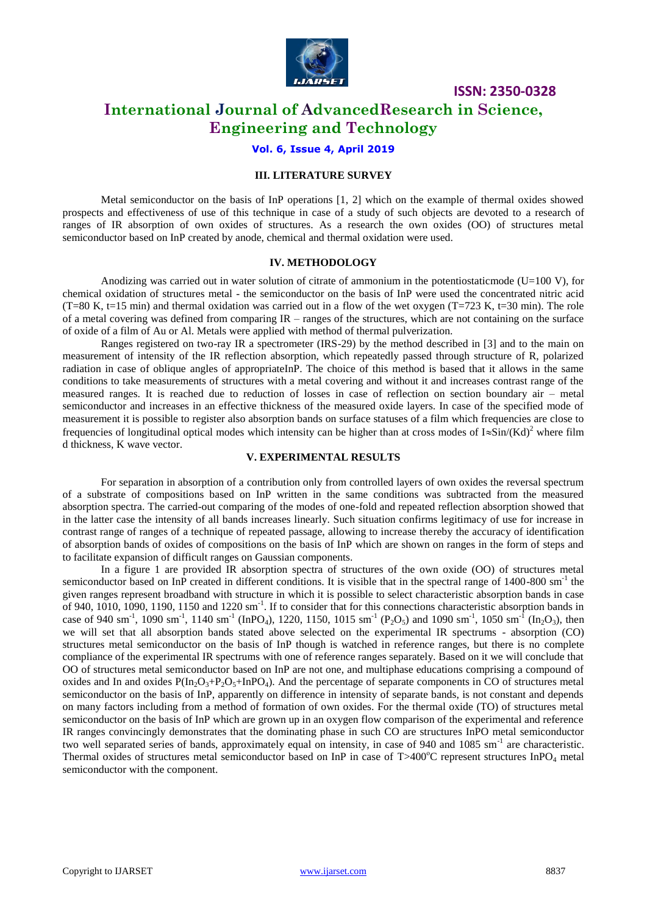

**ISSN: 2350-0328**

### **International Journal of AdvancedResearch in Science, Engineering and Technology**

#### **Vol. 6, Issue 4, April 2019**

#### **III. LITERATURE SURVEY**

Metal semiconductor on the basis of InP operations [1, 2] which on the example of thermal oxides showed prospects and effectiveness of use of this technique in case of a study of such objects are devoted to a research of ranges of IR absorption of own oxides of structures. As a research the own oxides (OO) of structures metal semiconductor based on InP created by anode, chemical and thermal oxidation were used.

#### **IV. METHODOLOGY**

Anodizing was carried out in water solution of citrate of ammonium in the potentiostaticmode (U=100 V), for chemical oxidation of structures metal - the semiconductor on the basis of InP were used the concentrated nitric acid  $(T=80 \text{ K}, t=15 \text{ min})$  and thermal oxidation was carried out in a flow of the wet oxygen  $(T=723 \text{ K}, t=30 \text{ min})$ . The role of a metal covering was defined from comparing IR – ranges of the structures, which are not containing on the surface of oxide of a film of Au or Al. Metals were applied with method of thermal pulverization.

Ranges registered on two-ray IR a spectrometer (IRS-29) by the method described in [3] and to the main on measurement of intensity of the IR reflection absorption, which repeatedly passed through structure of R, polarized radiation in case of oblique angles of appropriateInP. The choice of this method is based that it allows in the same conditions to take measurements of structures with a metal covering and without it and increases contrast range of the measured ranges. It is reached due to reduction of losses in case of reflection on section boundary air – metal semiconductor and increases in an effective thickness of the measured oxide layers. In case of the specified mode of measurement it is possible to register also absorption bands on surface statuses of a film which frequencies are close to frequencies of longitudinal optical modes which intensity can be higher than at cross modes of  $I \approx Sin/(Kd)^2$  where film d thickness, K wave vector.

#### **V. EXPERIMENTAL RESULTS**

For separation in absorption of a contribution only from controlled layers of own oxides the reversal spectrum of a substrate of compositions based on InP written in the same conditions was subtracted from the measured absorption spectra. The carried-out comparing of the modes of one-fold and repeated reflection absorption showed that in the latter case the intensity of all bands increases linearly. Such situation confirms legitimacy of use for increase in contrast range of ranges of a technique of repeated passage, allowing to increase thereby the accuracy of identification of absorption bands of oxides of compositions on the basis of InP which are shown on ranges in the form of steps and to facilitate expansion of difficult ranges on Gaussian components.

In a figure 1 are provided IR absorption spectra of structures of the own oxide (OO) of structures metal semiconductor based on InP created in different conditions. It is visible that in the spectral range of 1400-800 sm<sup>-1</sup> the given ranges represent broadband with structure in which it is possible to select characteristic absorption bands in case of 940, 1010, 1090, 1190, 1150 and 1220 sm<sup>-1</sup>. If to consider that for this connections characteristic absorption bands in case of 940 sm<sup>-1</sup>, 1090 sm<sup>-1</sup>, 1140 sm<sup>-1</sup> (InPO<sub>4</sub>), 1220, 1150, 1015 sm<sup>-1</sup> (P<sub>2</sub>O<sub>5</sub>) and 1090 sm<sup>-1</sup>, 1050 sm<sup>-1</sup> (In<sub>2</sub>O<sub>3</sub>), then we will set that all absorption bands stated above selected on the experimental IR spectrums - absorption (CO) structures metal semiconductor on the basis of InP though is watched in reference ranges, but there is no complete compliance of the experimental IR spectrums with one of reference ranges separately. Based on it we will conclude that OO of structures metal semiconductor based on InP are not one, and multiphase educations comprising a compound of oxides and In and oxides  $P(\text{In}_2\text{O}_3+\text{P}_2\text{O}_5+\text{InPO}_4)$ . And the percentage of separate components in CO of structures metal semiconductor on the basis of InP, apparently on difference in intensity of separate bands, is not constant and depends on many factors including from a method of formation of own oxides. For the thermal oxide (TO) of structures metal semiconductor on the basis of InP which are grown up in an oxygen flow comparison of the experimental and reference IR ranges convincingly demonstrates that the dominating phase in such CO are structures InPO metal semiconductor two well separated series of bands, approximately equal on intensity, in case of 940 and 1085 sm<sup>-1</sup> are characteristic. Thermal oxides of structures metal semiconductor based on InP in case of  $T>400^{\circ}$ C represent structures InPO<sub>4</sub> metal semiconductor with the component.